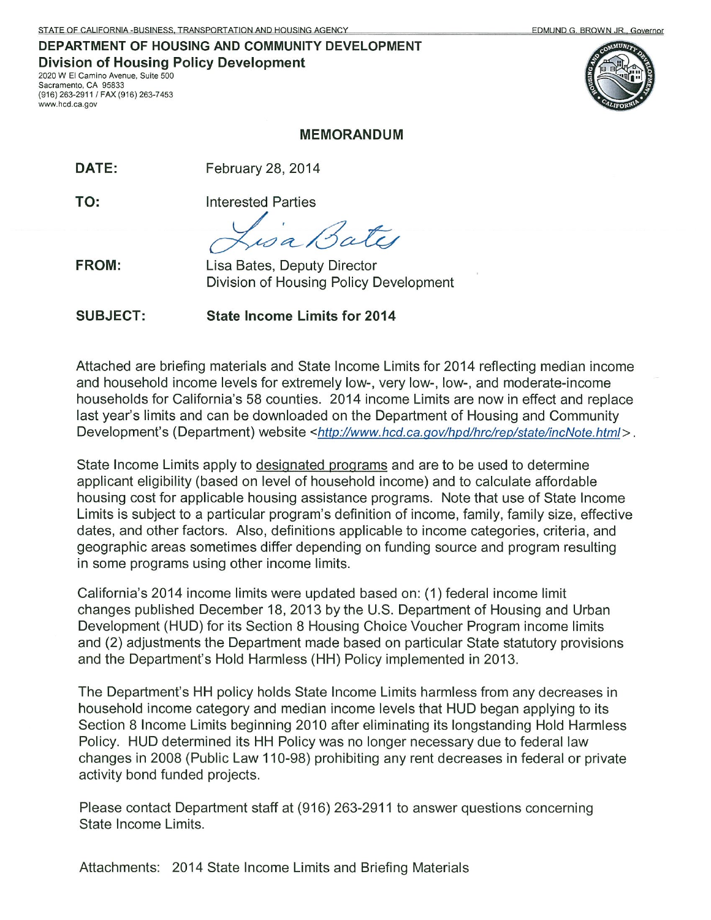#### DEPARTMENT OF HOUSING AND COMMUNITY DEVELOPMENT **Division of Housing Policy Development** 2020 W El Camino Avenue, Suite 500

Sacramento, CA 95833 (916) 263-2911 / FAX (916) 263-7453 www.hcd.ca.gov





#### **MEMORANDUM**

DATE: February 28, 2014

TO:

**Interested Parties** 

**FROM:** 

Lisa Bates, Deputy Director Division of Housing Policy Development

**State Income Limits for 2014 SUBJECT:** 

Attached are briefing materials and State Income Limits for 2014 reflecting median income and household income levels for extremely low-, very low-, low-, and moderate-income households for California's 58 counties. 2014 income Limits are now in effect and replace last year's limits and can be downloaded on the Department of Housing and Community Development's (Department) website <http://www.hcd.ca.gov/hpd/hrc/rep/state/incNote.html>.

State Income Limits apply to designated programs and are to be used to determine applicant eligibility (based on level of household income) and to calculate affordable housing cost for applicable housing assistance programs. Note that use of State Income Limits is subject to a particular program's definition of income, family, family size, effective dates, and other factors. Also, definitions applicable to income categories, criteria, and geographic areas sometimes differ depending on funding source and program resulting in some programs using other income limits.

California's 2014 income limits were updated based on: (1) federal income limit changes published December 18, 2013 by the U.S. Department of Housing and Urban Development (HUD) for its Section 8 Housing Choice Voucher Program income limits and (2) adjustments the Department made based on particular State statutory provisions and the Department's Hold Harmless (HH) Policy implemented in 2013.

The Department's HH policy holds State Income Limits harmless from any decreases in household income category and median income levels that HUD began applying to its Section 8 Income Limits beginning 2010 after eliminating its longstanding Hold Harmless Policy. HUD determined its HH Policy was no longer necessary due to federal law changes in 2008 (Public Law 110-98) prohibiting any rent decreases in federal or private activity bond funded projects.

Please contact Department staff at (916) 263-2911 to answer questions concerning State Income Limits.

Attachments: 2014 State Income Limits and Briefing Materials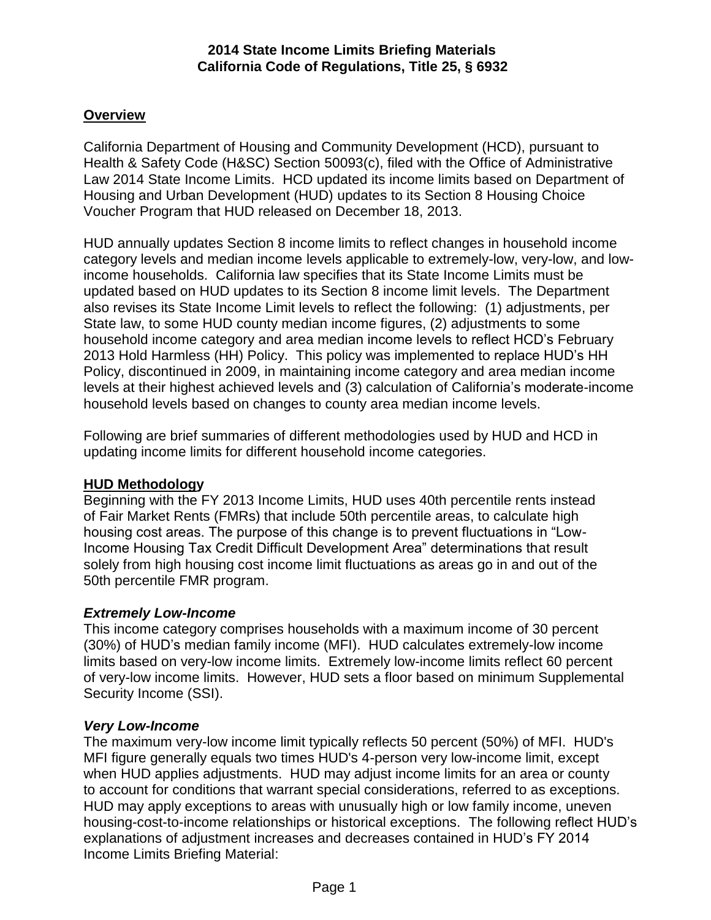## **Overview**

California Department of Housing and Community Development (HCD), pursuant to Health & Safety Code (H&SC) Section 50093(c), filed with the Office of Administrative Law 2014 State Income Limits. HCD updated its income limits based on Department of Housing and Urban Development (HUD) updates to its Section 8 Housing Choice Voucher Program that HUD released on December 18, 2013.

HUD annually updates Section 8 income limits to reflect changes in household income category levels and median income levels applicable to extremely-low, very-low, and lowincome households. California law specifies that its State Income Limits must be updated based on HUD updates to its Section 8 income limit levels. The Department also revises its State Income Limit levels to reflect the following: (1) adjustments, per State law, to some HUD county median income figures, (2) adjustments to some household income category and area median income levels to reflect HCD's February 2013 Hold Harmless (HH) Policy. This policy was implemented to replace HUD's HH Policy, discontinued in 2009, in maintaining income category and area median income levels at their highest achieved levels and (3) calculation of California's moderate-income household levels based on changes to county area median income levels.

Following are brief summaries of different methodologies used by HUD and HCD in updating income limits for different household income categories.

### **HUD Methodology**

Beginning with the FY 2013 Income Limits, HUD uses 40th percentile rents instead of Fair Market Rents (FMRs) that include 50th percentile areas, to calculate high housing cost areas. The purpose of this change is to prevent fluctuations in "Low-Income Housing Tax Credit Difficult Development Area" determinations that result solely from high housing cost income limit fluctuations as areas go in and out of the 50th percentile FMR program.

### *Extremely Low-Income*

This income category comprises households with a maximum income of 30 percent (30%) of HUD's median family income (MFI). HUD calculates extremely-low income limits based on very-low income limits. Extremely low-income limits reflect 60 percent of very-low income limits. However, HUD sets a floor based on minimum Supplemental Security Income (SSI).

### *Very Low-Income*

The maximum very-low income limit typically reflects 50 percent (50%) of MFI. HUD's MFI figure generally equals two times HUD's 4-person very low-income limit, except when HUD applies adjustments. HUD may adjust income limits for an area or county to account for conditions that warrant special considerations, referred to as exceptions. HUD may apply exceptions to areas with unusually high or low family income, uneven housing-cost-to-income relationships or historical exceptions. The following reflect HUD's explanations of adjustment increases and decreases contained in HUD's FY 2014 Income Limits Briefing Material: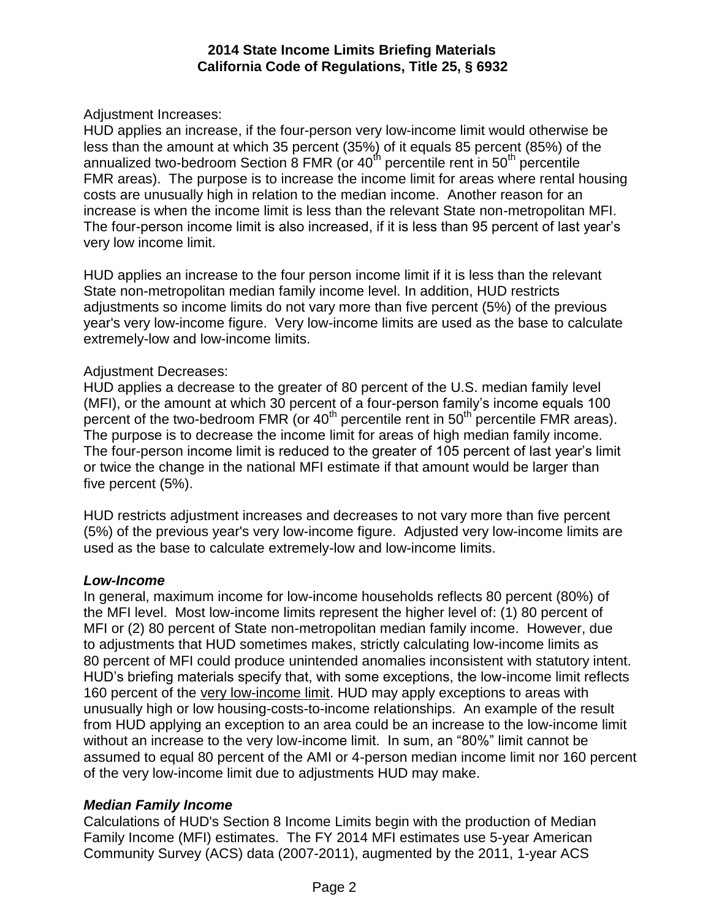Adjustment Increases:

HUD applies an increase, if the four-person very low-income limit would otherwise be less than the amount at which 35 percent (35%) of it equals 85 percent (85%) of the annualized two-bedroom Section 8 FMR (or  $40<sup>th</sup>$  percentile rent in  $50<sup>th</sup>$  percentile FMR areas). The purpose is to increase the income limit for areas where rental housing costs are unusually high in relation to the median income. Another reason for an increase is when the income limit is less than the relevant State non-metropolitan MFI. The four-person income limit is also increased, if it is less than 95 percent of last year's very low income limit.

HUD applies an increase to the four person income limit if it is less than the relevant State non-metropolitan median family income level. In addition, HUD restricts adjustments so income limits do not vary more than five percent (5%) of the previous year's very low-income figure. Very low-income limits are used as the base to calculate extremely-low and low-income limits.

## Adjustment Decreases:

HUD applies a decrease to the greater of 80 percent of the U.S. median family level (MFI), or the amount at which 30 percent of a four-person family's income equals 100 percent of the two-bedroom FMR (or  $40<sup>th</sup>$  percentile rent in 50<sup>th</sup> percentile FMR areas). The purpose is to decrease the income limit for areas of high median family income. The four-person income limit is reduced to the greater of 105 percent of last year's limit or twice the change in the national MFI estimate if that amount would be larger than five percent (5%).

HUD restricts adjustment increases and decreases to not vary more than five percent (5%) of the previous year's very low-income figure. Adjusted very low-income limits are used as the base to calculate extremely-low and low-income limits.

### *Low-Income*

In general, maximum income for low-income households reflects 80 percent (80%) of the MFI level. Most low-income limits represent the higher level of: (1) 80 percent of MFI or (2) 80 percent of State non-metropolitan median family income. However, due to adjustments that HUD sometimes makes, strictly calculating low-income limits as 80 percent of MFI could produce unintended anomalies inconsistent with statutory intent. HUD's briefing materials specify that, with some exceptions, the low-income limit reflects 160 percent of the very low-income limit. HUD may apply exceptions to areas with unusually high or low housing-costs-to-income relationships. An example of the result from HUD applying an exception to an area could be an increase to the low-income limit without an increase to the very low-income limit. In sum, an "80%" limit cannot be assumed to equal 80 percent of the AMI or 4-person median income limit nor 160 percent of the very low-income limit due to adjustments HUD may make.

# *Median Family Income*

Calculations of HUD's Section 8 Income Limits begin with the production of Median Family Income (MFI) estimates. The FY 2014 MFI estimates use 5-year American Community Survey (ACS) data (2007-2011), augmented by the 2011, 1-year ACS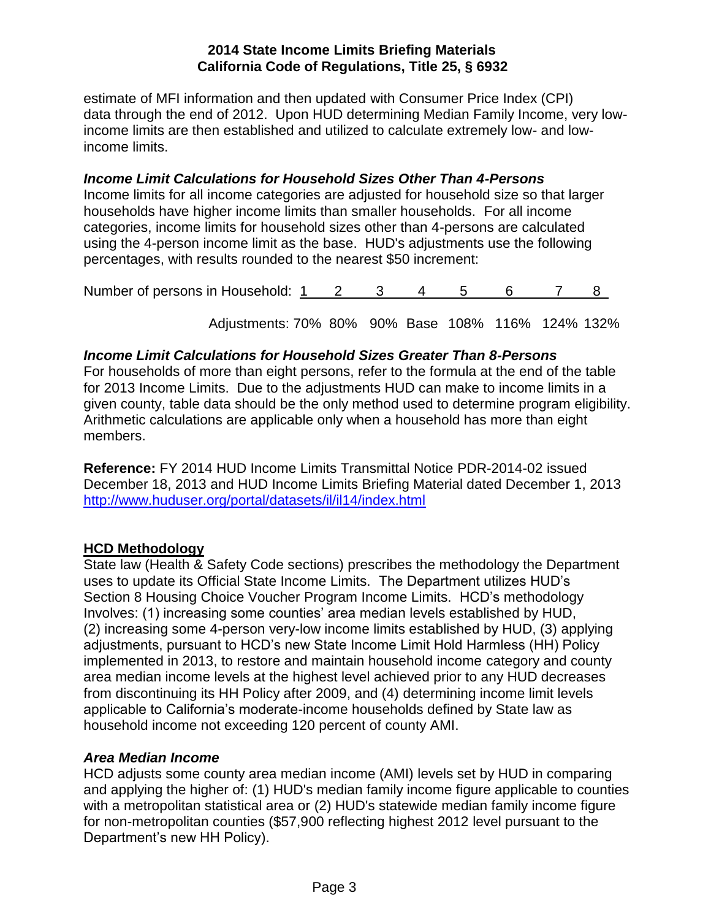estimate of MFI information and then updated with Consumer Price Index (CPI) data through the end of 2012. Upon HUD determining Median Family Income, very lowincome limits are then established and utilized to calculate extremely low- and lowincome limits.

# *Income Limit Calculations for Household Sizes Other Than 4-Persons*

Income limits for all income categories are adjusted for household size so that larger households have higher income limits than smaller households. For all income categories, income limits for household sizes other than 4-persons are calculated using the 4-person income limit as the base. HUD's adjustments use the following percentages, with results rounded to the nearest \$50 increment:

|  | Number of persons in Household: 1 |  |  |  |  |  |  |  |  |
|--|-----------------------------------|--|--|--|--|--|--|--|--|
|--|-----------------------------------|--|--|--|--|--|--|--|--|

Adjustments: 70% 80% 90% Base 108% 116% 124% 132%

## *Income Limit Calculations for Household Sizes Greater Than 8-Persons*

For households of more than eight persons, refer to the formula at the end of the table for 2013 Income Limits. Due to the adjustments HUD can make to income limits in a given county, table data should be the only method used to determine program eligibility. Arithmetic calculations are applicable only when a household has more than eight members.

**Reference:** FY 2014 HUD Income Limits Transmittal Notice PDR-2014-02 issued December 18, 2013 and HUD Income Limits Briefing Material dated December 1, 2013 <http://www.huduser.org/portal/datasets/il/il14/index.html>

### **HCD Methodology**

State law (Health & Safety Code sections) prescribes the methodology the Department uses to update its Official State Income Limits. The Department utilizes HUD's Section 8 Housing Choice Voucher Program Income Limits. HCD's methodology Involves: (1) increasing some counties' area median levels established by HUD, (2) increasing some 4-person very-low income limits established by HUD, (3) applying adjustments, pursuant to HCD's new State Income Limit Hold Harmless (HH) Policy implemented in 2013, to restore and maintain household income category and county area median income levels at the highest level achieved prior to any HUD decreases from discontinuing its HH Policy after 2009, and (4) determining income limit levels applicable to California's moderate-income households defined by State law as household income not exceeding 120 percent of county AMI.

### *Area Median Income*

HCD adjusts some county area median income (AMI) levels set by HUD in comparing and applying the higher of: (1) HUD's median family income figure applicable to counties with a metropolitan statistical area or (2) HUD's statewide median family income figure for non-metropolitan counties (\$57,900 reflecting highest 2012 level pursuant to the Department's new HH Policy).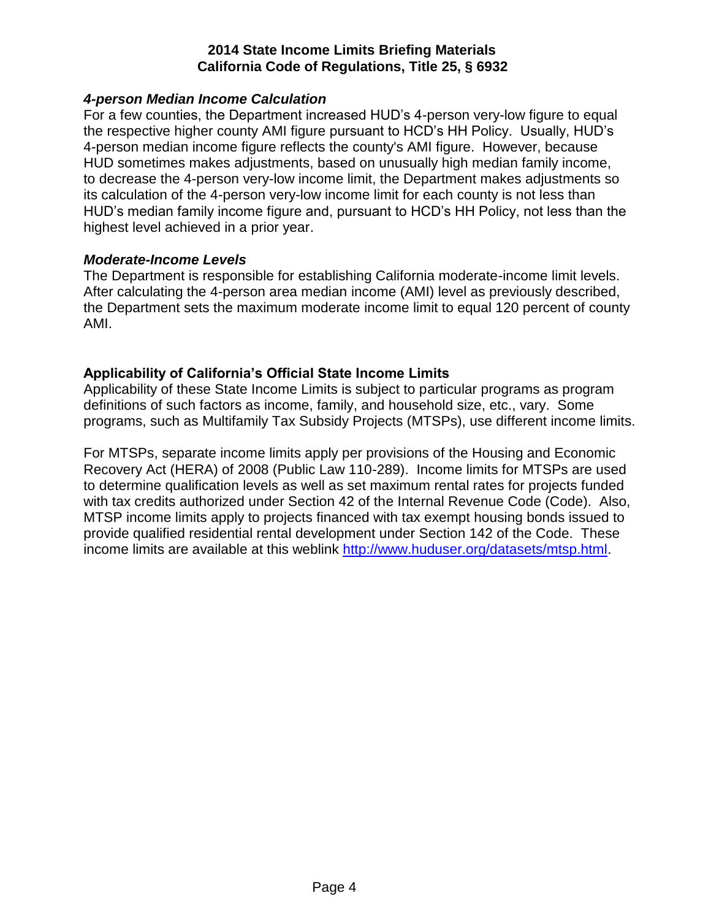### *4-person Median Income Calculation*

For a few counties, the Department increased HUD's 4-person very-low figure to equal the respective higher county AMI figure pursuant to HCD's HH Policy. Usually, HUD's 4-person median income figure reflects the county's AMI figure. However, because HUD sometimes makes adjustments, based on unusually high median family income, to decrease the 4-person very-low income limit, the Department makes adjustments so its calculation of the 4-person very-low income limit for each county is not less than HUD's median family income figure and, pursuant to HCD's HH Policy, not less than the highest level achieved in a prior year.

### *Moderate-Income Levels*

The Department is responsible for establishing California moderate-income limit levels. After calculating the 4-person area median income (AMI) level as previously described, the Department sets the maximum moderate income limit to equal 120 percent of county AMI.

## **Applicability of California's Official State Income Limits**

Applicability of these State Income Limits is subject to particular programs as program definitions of such factors as income, family, and household size, etc., vary. Some programs, such as Multifamily Tax Subsidy Projects (MTSPs), use different income limits.

For MTSPs, separate income limits apply per provisions of the Housing and Economic Recovery Act (HERA) of 2008 (Public Law 110-289). Income limits for MTSPs are used to determine qualification levels as well as set maximum rental rates for projects funded with tax credits authorized under Section 42 of the Internal Revenue Code (Code). Also, MTSP income limits apply to projects financed with tax exempt housing bonds issued to provide qualified residential rental development under Section 142 of the Code. These income limits are available at this weblink [http://www.huduser.org/datasets/mtsp.html.](http://www.huduser.org/datasets/mtsp.html)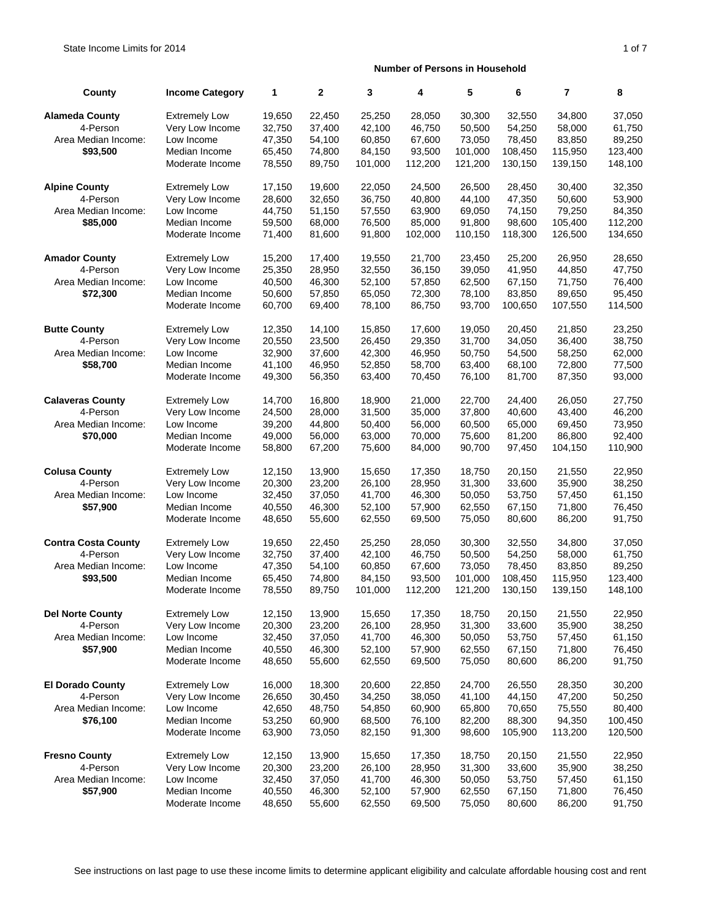| County                     | <b>Income Category</b> | 1      | $\mathbf{2}$ | 3       | 4       | 5       | 6       | $\overline{7}$ | 8       |
|----------------------------|------------------------|--------|--------------|---------|---------|---------|---------|----------------|---------|
| <b>Alameda County</b>      | <b>Extremely Low</b>   | 19,650 | 22,450       | 25,250  | 28,050  | 30,300  | 32.550  | 34,800         | 37,050  |
| 4-Person                   | Very Low Income        | 32,750 | 37,400       | 42,100  | 46,750  | 50,500  | 54,250  | 58,000         | 61,750  |
| Area Median Income:        | Low Income             | 47,350 | 54,100       | 60,850  | 67,600  | 73,050  | 78,450  | 83,850         | 89,250  |
| \$93,500                   | Median Income          | 65,450 | 74,800       | 84,150  | 93,500  | 101.000 | 108,450 | 115,950        | 123,400 |
|                            | Moderate Income        | 78,550 | 89,750       | 101,000 | 112,200 | 121,200 | 130,150 | 139,150        | 148,100 |
| <b>Alpine County</b>       | <b>Extremely Low</b>   | 17,150 | 19,600       | 22,050  | 24,500  | 26,500  | 28,450  | 30,400         | 32,350  |
| 4-Person                   | Very Low Income        | 28,600 | 32,650       | 36,750  | 40,800  | 44,100  | 47,350  | 50,600         | 53,900  |
| Area Median Income:        | Low Income             | 44,750 | 51,150       | 57,550  | 63,900  | 69,050  | 74,150  | 79,250         | 84,350  |
| \$85,000                   | Median Income          | 59,500 | 68,000       | 76,500  | 85,000  | 91,800  | 98,600  | 105,400        | 112,200 |
|                            | Moderate Income        | 71,400 | 81,600       | 91,800  | 102,000 | 110.150 | 118,300 | 126,500        | 134,650 |
| <b>Amador County</b>       | <b>Extremely Low</b>   | 15,200 | 17,400       | 19,550  | 21,700  | 23,450  | 25,200  | 26,950         | 28,650  |
| 4-Person                   | Very Low Income        | 25,350 | 28,950       | 32,550  | 36,150  | 39,050  | 41,950  | 44,850         | 47,750  |
| Area Median Income:        | Low Income             | 40,500 | 46,300       | 52,100  | 57,850  | 62,500  | 67,150  | 71,750         | 76,400  |
| \$72,300                   | Median Income          | 50,600 | 57,850       | 65,050  | 72,300  | 78,100  | 83,850  | 89,650         | 95,450  |
|                            | Moderate Income        | 60,700 | 69,400       | 78,100  | 86,750  | 93,700  | 100,650 | 107,550        | 114,500 |
| <b>Butte County</b>        | <b>Extremely Low</b>   | 12,350 | 14,100       | 15,850  | 17,600  | 19,050  | 20,450  | 21,850         | 23,250  |
| 4-Person                   | Very Low Income        | 20,550 | 23,500       | 26,450  | 29,350  | 31,700  | 34,050  | 36,400         | 38,750  |
| Area Median Income:        | Low Income             | 32,900 | 37,600       | 42,300  | 46,950  | 50,750  | 54,500  | 58,250         | 62,000  |
| \$58,700                   | Median Income          | 41,100 | 46,950       | 52,850  | 58,700  | 63,400  | 68,100  | 72,800         | 77,500  |
|                            | Moderate Income        | 49,300 | 56,350       | 63,400  | 70,450  | 76,100  | 81,700  | 87,350         | 93,000  |
| <b>Calaveras County</b>    | <b>Extremely Low</b>   | 14,700 | 16,800       | 18,900  | 21,000  | 22,700  | 24,400  | 26,050         | 27,750  |
| 4-Person                   | Very Low Income        | 24,500 | 28,000       | 31,500  | 35,000  | 37,800  | 40,600  | 43,400         | 46,200  |
| Area Median Income:        | Low Income             | 39,200 | 44,800       | 50,400  | 56,000  | 60,500  | 65,000  | 69,450         | 73,950  |
| \$70,000                   | Median Income          | 49,000 | 56,000       | 63,000  | 70,000  | 75,600  | 81,200  | 86,800         | 92,400  |
|                            | Moderate Income        | 58,800 | 67,200       | 75,600  | 84,000  | 90,700  | 97,450  | 104,150        | 110,900 |
| <b>Colusa County</b>       | <b>Extremely Low</b>   | 12,150 | 13,900       | 15,650  | 17,350  | 18,750  | 20,150  | 21,550         | 22,950  |
| 4-Person                   | Very Low Income        | 20,300 | 23,200       | 26,100  | 28,950  | 31,300  | 33,600  | 35,900         | 38,250  |
| Area Median Income:        | Low Income             | 32,450 | 37,050       | 41,700  | 46,300  | 50,050  | 53,750  | 57,450         | 61,150  |
| \$57,900                   | Median Income          | 40,550 | 46,300       | 52,100  | 57,900  | 62,550  | 67,150  | 71,800         | 76,450  |
|                            | Moderate Income        | 48,650 | 55,600       | 62,550  | 69,500  | 75,050  | 80,600  | 86,200         | 91,750  |
| <b>Contra Costa County</b> | <b>Extremely Low</b>   | 19,650 | 22,450       | 25,250  | 28,050  | 30,300  | 32,550  | 34,800         | 37,050  |
| 4-Person                   | Very Low Income        | 32.750 | 37,400       | 42.100  | 46,750  | 50.500  | 54,250  | 58,000         | 61,750  |
| Area Median Income:        | Low Income             | 47,350 | 54,100       | 60,850  | 67,600  | 73,050  | 78,450  | 83,850         | 89,250  |
| \$93,500                   | Median Income          | 65,450 | 74,800       | 84,150  | 93,500  | 101,000 | 108,450 | 115,950        | 123,400 |
|                            | Moderate Income        | 78,550 | 89,750       | 101,000 | 112,200 | 121,200 | 130,150 | 139,150        | 148,100 |
| <b>Del Norte County</b>    | <b>Extremely Low</b>   | 12,150 | 13,900       | 15,650  | 17,350  | 18,750  | 20,150  | 21,550         | 22,950  |
| 4-Person                   | Very Low Income        | 20,300 | 23,200       | 26,100  | 28,950  | 31,300  | 33,600  | 35,900         | 38,250  |
| Area Median Income:        | Low Income             | 32,450 | 37,050       | 41,700  | 46,300  | 50,050  | 53,750  | 57,450         | 61,150  |
| \$57,900                   | Median Income          | 40,550 | 46,300       | 52,100  | 57,900  | 62,550  | 67,150  | 71,800         | 76,450  |
|                            | Moderate Income        | 48,650 | 55,600       | 62,550  | 69,500  | 75,050  | 80,600  | 86,200         | 91,750  |
| <b>El Dorado County</b>    | <b>Extremely Low</b>   | 16,000 | 18,300       | 20,600  | 22,850  | 24,700  | 26,550  | 28,350         | 30,200  |
| 4-Person                   | Very Low Income        | 26,650 | 30,450       | 34,250  | 38,050  | 41,100  | 44,150  | 47,200         | 50,250  |
| Area Median Income:        | Low Income             | 42,650 | 48,750       | 54,850  | 60,900  | 65,800  | 70,650  | 75,550         | 80,400  |
| \$76,100                   | Median Income          | 53,250 | 60,900       | 68,500  | 76,100  | 82,200  | 88,300  | 94,350         | 100,450 |
|                            | Moderate Income        | 63,900 | 73,050       | 82,150  | 91,300  | 98,600  | 105,900 | 113,200        | 120,500 |
| <b>Fresno County</b>       | <b>Extremely Low</b>   | 12,150 | 13,900       | 15,650  | 17,350  | 18,750  | 20,150  | 21,550         | 22,950  |
| 4-Person                   | Very Low Income        | 20,300 | 23,200       | 26,100  | 28,950  | 31,300  | 33,600  | 35,900         | 38,250  |
| Area Median Income:        | Low Income             | 32,450 | 37,050       | 41,700  | 46,300  | 50,050  | 53,750  | 57,450         | 61,150  |
| \$57,900                   | Median Income          | 40,550 | 46,300       | 52,100  | 57,900  | 62,550  | 67,150  | 71,800         | 76,450  |
|                            | Moderate Income        | 48,650 | 55,600       | 62,550  | 69,500  | 75,050  | 80,600  | 86,200         | 91,750  |

See instructions on last page to use these income limits to determine applicant eligibility and calculate affordable housing cost and rent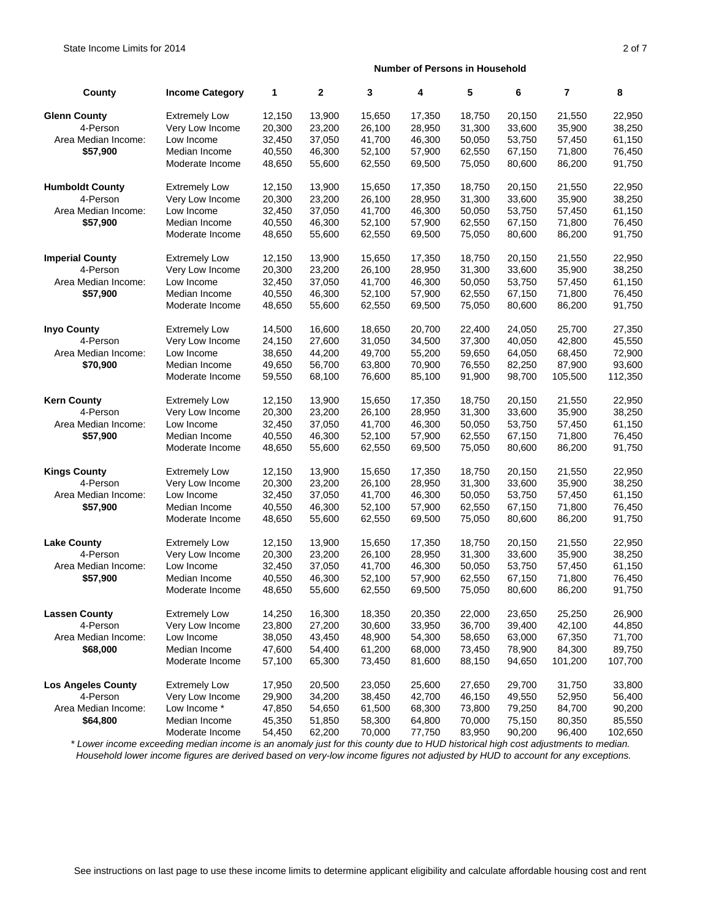| County                    | <b>Income Category</b> | 1      | $\mathbf{2}$ | 3      | 4      | 5      | 6      | $\overline{7}$ | 8       |
|---------------------------|------------------------|--------|--------------|--------|--------|--------|--------|----------------|---------|
| <b>Glenn County</b>       | <b>Extremely Low</b>   | 12,150 | 13,900       | 15,650 | 17,350 | 18,750 | 20,150 | 21,550         | 22,950  |
| 4-Person                  | Very Low Income        | 20,300 | 23,200       | 26,100 | 28,950 | 31,300 | 33,600 | 35,900         | 38,250  |
| Area Median Income:       | Low Income             | 32,450 | 37,050       | 41,700 | 46,300 | 50,050 | 53,750 | 57,450         | 61,150  |
| \$57,900                  | Median Income          | 40,550 | 46,300       | 52,100 | 57,900 | 62,550 | 67,150 | 71,800         | 76,450  |
|                           | Moderate Income        | 48,650 | 55,600       | 62,550 | 69,500 | 75,050 | 80,600 | 86,200         | 91,750  |
| <b>Humboldt County</b>    | <b>Extremely Low</b>   | 12,150 | 13,900       | 15,650 | 17,350 | 18,750 | 20,150 | 21,550         | 22,950  |
| 4-Person                  | Very Low Income        | 20,300 | 23,200       | 26,100 | 28,950 | 31,300 | 33,600 | 35,900         | 38,250  |
| Area Median Income:       | Low Income             | 32,450 | 37,050       | 41,700 | 46,300 | 50,050 | 53,750 | 57,450         | 61,150  |
| \$57,900                  | Median Income          | 40,550 | 46,300       | 52,100 | 57,900 | 62,550 | 67,150 | 71,800         | 76,450  |
|                           | Moderate Income        | 48,650 | 55,600       | 62,550 | 69,500 | 75,050 | 80,600 | 86,200         | 91,750  |
| <b>Imperial County</b>    | <b>Extremely Low</b>   | 12,150 | 13,900       | 15,650 | 17,350 | 18,750 | 20,150 | 21,550         | 22,950  |
| 4-Person                  | Very Low Income        | 20,300 | 23,200       | 26,100 | 28,950 | 31,300 | 33,600 | 35,900         | 38,250  |
| Area Median Income:       | Low Income             | 32,450 | 37,050       | 41,700 | 46,300 | 50,050 | 53,750 | 57,450         | 61,150  |
| \$57,900                  | Median Income          | 40,550 | 46,300       | 52,100 | 57,900 | 62,550 | 67,150 | 71,800         | 76,450  |
|                           | Moderate Income        | 48,650 | 55,600       | 62,550 | 69,500 | 75,050 | 80,600 | 86,200         | 91,750  |
| <b>Inyo County</b>        | <b>Extremely Low</b>   | 14,500 | 16,600       | 18,650 | 20,700 | 22,400 | 24,050 | 25.700         | 27,350  |
| 4-Person                  | Very Low Income        | 24,150 | 27,600       | 31,050 | 34,500 | 37,300 | 40,050 | 42,800         | 45,550  |
| Area Median Income:       | Low Income             | 38,650 | 44,200       | 49,700 | 55,200 | 59,650 | 64,050 | 68,450         | 72,900  |
| \$70,900                  | Median Income          | 49,650 | 56,700       | 63,800 | 70,900 | 76,550 | 82,250 | 87,900         | 93,600  |
|                           | Moderate Income        | 59,550 | 68,100       | 76,600 | 85,100 | 91,900 | 98,700 | 105,500        | 112,350 |
| <b>Kern County</b>        | <b>Extremely Low</b>   | 12,150 | 13,900       | 15,650 | 17,350 | 18,750 | 20,150 | 21,550         | 22,950  |
| 4-Person                  | Very Low Income        | 20,300 | 23,200       | 26,100 | 28,950 | 31,300 | 33,600 | 35,900         | 38,250  |
| Area Median Income:       | Low Income             | 32,450 | 37,050       | 41,700 | 46,300 | 50,050 | 53,750 | 57,450         | 61,150  |
| \$57,900                  | Median Income          | 40,550 | 46,300       | 52,100 | 57,900 | 62,550 | 67,150 | 71,800         | 76,450  |
|                           | Moderate Income        | 48,650 | 55,600       | 62,550 | 69,500 | 75,050 | 80,600 | 86,200         | 91,750  |
| <b>Kings County</b>       | <b>Extremely Low</b>   | 12,150 | 13,900       | 15,650 | 17,350 | 18,750 | 20,150 | 21,550         | 22,950  |
| 4-Person                  | Very Low Income        | 20,300 | 23,200       | 26,100 | 28,950 | 31,300 | 33,600 | 35,900         | 38,250  |
| Area Median Income:       | Low Income             | 32,450 | 37,050       | 41,700 | 46,300 | 50,050 | 53,750 | 57,450         | 61,150  |
| \$57,900                  | Median Income          | 40,550 | 46,300       | 52,100 | 57,900 | 62,550 | 67,150 | 71,800         | 76,450  |
|                           | Moderate Income        | 48,650 | 55,600       | 62,550 | 69,500 | 75,050 | 80,600 | 86,200         | 91,750  |
| <b>Lake County</b>        | <b>Extremely Low</b>   | 12,150 | 13,900       | 15,650 | 17,350 | 18,750 | 20,150 | 21,550         | 22,950  |
| 4-Person                  | Very Low Income        | 20,300 | 23,200       | 26,100 | 28,950 | 31,300 | 33,600 | 35,900         | 38,250  |
| Area Median Income:       | Low Income             | 32,450 | 37,050       | 41,700 | 46,300 | 50,050 | 53,750 | 57,450         | 61,150  |
| \$57,900                  | Median Income          | 40,550 | 46,300       | 52,100 | 57,900 | 62,550 | 67,150 | 71,800         | 76,450  |
|                           | Moderate Income        | 48,650 | 55,600       | 62,550 | 69,500 | 75,050 | 80,600 | 86,200         | 91,750  |
| <b>Lassen County</b>      | <b>Extremely Low</b>   | 14,250 | 16,300       | 18,350 | 20,350 | 22,000 | 23,650 | 25,250         | 26,900  |
| 4-Person                  | Very Low Income        | 23,800 | 27,200       | 30,600 | 33,950 | 36,700 | 39,400 | 42,100         | 44,850  |
| Area Median Income:       | Low Income             | 38,050 | 43,450       | 48,900 | 54,300 | 58,650 | 63,000 | 67,350         | 71,700  |
| \$68,000                  | Median Income          | 47,600 | 54,400       | 61,200 | 68,000 | 73,450 | 78,900 | 84,300         | 89,750  |
|                           | Moderate Income        | 57,100 | 65,300       | 73,450 | 81,600 | 88,150 | 94,650 | 101,200        | 107,700 |
| <b>Los Angeles County</b> | <b>Extremely Low</b>   | 17,950 | 20,500       | 23,050 | 25,600 | 27,650 | 29,700 | 31,750         | 33,800  |
| 4-Person                  | Very Low Income        | 29,900 | 34,200       | 38,450 | 42,700 | 46,150 | 49,550 | 52,950         | 56,400  |
| Area Median Income:       | Low Income *           | 47,850 | 54,650       | 61,500 | 68,300 | 73,800 | 79,250 | 84,700         | 90,200  |
| \$64,800                  | Median Income          | 45,350 | 51,850       | 58,300 | 64,800 | 70,000 | 75,150 | 80,350         | 85,550  |
|                           | Moderate Income        | 54,450 | 62,200       | 70,000 | 77,750 | 83,950 | 90,200 | 96,400         | 102,650 |

 *\* Lower income exceeding median income is an anomaly just for this county due to HUD historical high cost adjustments to median. Household lower income figures are derived based on very-low income figures not adjusted by HUD to account for any exceptions.*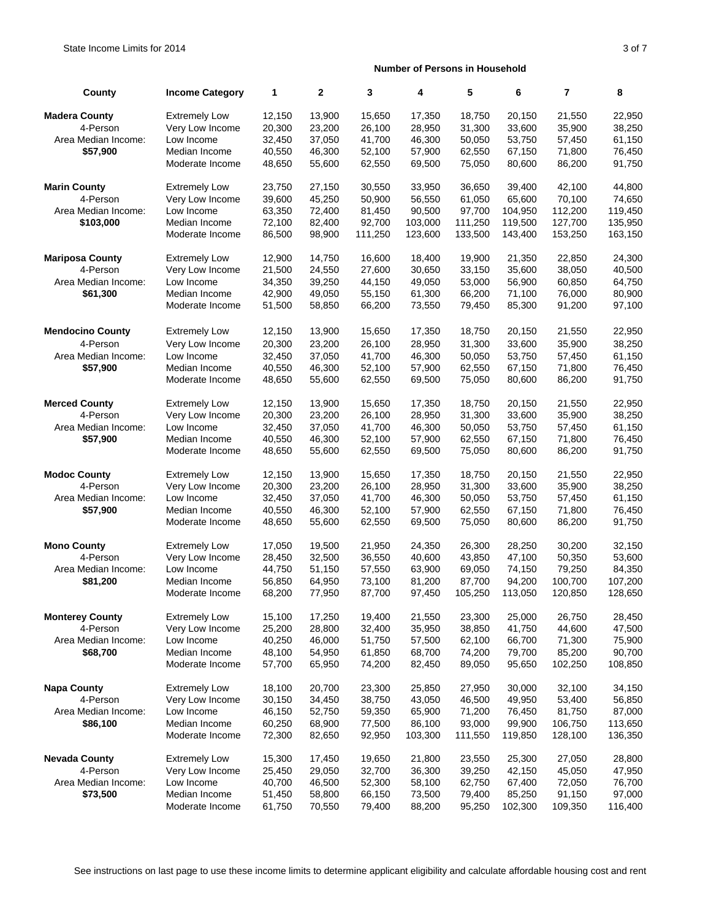| County                  | <b>Income Category</b> | 1      | $\mathbf{2}$ | 3       | 4       | 5       | 6       | 7       | 8       |
|-------------------------|------------------------|--------|--------------|---------|---------|---------|---------|---------|---------|
| <b>Madera County</b>    | <b>Extremely Low</b>   | 12,150 | 13,900       | 15,650  | 17,350  | 18,750  | 20,150  | 21,550  | 22,950  |
| 4-Person                | Very Low Income        | 20,300 | 23,200       | 26,100  | 28,950  | 31,300  | 33,600  | 35,900  | 38,250  |
| Area Median Income:     | Low Income             | 32,450 | 37,050       | 41,700  | 46,300  | 50,050  | 53,750  | 57,450  | 61,150  |
| \$57,900                | Median Income          | 40,550 | 46,300       | 52,100  | 57,900  | 62,550  | 67,150  | 71,800  | 76,450  |
|                         | Moderate Income        | 48,650 | 55,600       | 62,550  | 69,500  | 75,050  | 80,600  | 86,200  | 91,750  |
| <b>Marin County</b>     | <b>Extremely Low</b>   | 23,750 | 27,150       | 30,550  | 33,950  | 36,650  | 39,400  | 42,100  | 44,800  |
| 4-Person                | Very Low Income        | 39,600 | 45,250       | 50,900  | 56,550  | 61,050  | 65,600  | 70,100  | 74,650  |
| Area Median Income:     | Low Income             | 63,350 | 72,400       | 81,450  | 90,500  | 97,700  | 104,950 | 112,200 | 119,450 |
| \$103,000               | Median Income          | 72,100 | 82,400       | 92,700  | 103,000 | 111,250 | 119,500 | 127,700 | 135,950 |
|                         | Moderate Income        | 86,500 | 98,900       | 111,250 | 123,600 | 133,500 | 143,400 | 153,250 | 163,150 |
| <b>Mariposa County</b>  | <b>Extremely Low</b>   | 12,900 | 14,750       | 16,600  | 18,400  | 19,900  | 21,350  | 22,850  | 24,300  |
| 4-Person                | Very Low Income        | 21,500 | 24,550       | 27,600  | 30,650  | 33,150  | 35,600  | 38,050  | 40,500  |
| Area Median Income:     | Low Income             | 34,350 | 39,250       | 44,150  | 49,050  | 53,000  | 56,900  | 60,850  | 64,750  |
| \$61,300                | Median Income          | 42,900 | 49,050       | 55,150  | 61,300  | 66,200  | 71,100  | 76,000  | 80,900  |
|                         | Moderate Income        | 51,500 | 58,850       | 66,200  | 73,550  | 79,450  | 85,300  | 91,200  | 97,100  |
| <b>Mendocino County</b> | <b>Extremely Low</b>   | 12,150 | 13,900       | 15,650  | 17,350  | 18,750  | 20,150  | 21,550  | 22,950  |
| 4-Person                | Very Low Income        | 20,300 | 23,200       | 26,100  | 28,950  | 31,300  | 33,600  | 35,900  | 38,250  |
| Area Median Income:     | Low Income             | 32,450 | 37,050       | 41,700  | 46,300  | 50,050  | 53,750  | 57,450  | 61,150  |
| \$57,900                | Median Income          | 40,550 | 46,300       | 52,100  | 57,900  | 62,550  | 67,150  | 71,800  | 76,450  |
|                         | Moderate Income        | 48,650 | 55,600       | 62,550  | 69,500  | 75,050  | 80,600  | 86,200  | 91,750  |
| <b>Merced County</b>    | <b>Extremely Low</b>   | 12,150 | 13,900       | 15,650  | 17,350  | 18,750  | 20,150  | 21,550  | 22,950  |
| 4-Person                | Very Low Income        | 20,300 | 23,200       | 26,100  | 28,950  | 31,300  | 33,600  | 35,900  | 38,250  |
| Area Median Income:     | Low Income             | 32,450 | 37,050       | 41,700  | 46,300  | 50,050  | 53,750  | 57,450  | 61,150  |
| \$57,900                | Median Income          | 40,550 | 46,300       | 52,100  | 57,900  | 62,550  | 67,150  | 71,800  | 76,450  |
|                         | Moderate Income        | 48,650 | 55,600       | 62,550  | 69,500  | 75,050  | 80,600  | 86,200  | 91,750  |
| <b>Modoc County</b>     | <b>Extremely Low</b>   | 12,150 | 13,900       | 15,650  | 17,350  | 18,750  | 20,150  | 21,550  | 22,950  |
| 4-Person                | Very Low Income        | 20,300 | 23,200       | 26,100  | 28,950  | 31,300  | 33,600  | 35,900  | 38,250  |
| Area Median Income:     | Low Income             | 32,450 | 37,050       | 41,700  | 46,300  | 50,050  | 53,750  | 57,450  | 61,150  |
| \$57,900                | Median Income          | 40,550 | 46,300       | 52,100  | 57,900  | 62,550  | 67,150  | 71,800  | 76,450  |
|                         | Moderate Income        | 48,650 | 55,600       | 62,550  | 69,500  | 75,050  | 80,600  | 86,200  | 91,750  |
| <b>Mono County</b>      | <b>Extremely Low</b>   | 17,050 | 19,500       | 21,950  | 24,350  | 26,300  | 28,250  | 30,200  | 32,150  |
| 4-Person                | Very Low Income        | 28,450 | 32,500       | 36,550  | 40,600  | 43,850  | 47,100  | 50,350  | 53,600  |
| Area Median Income:     | Low Income             | 44,750 | 51,150       | 57,550  | 63,900  | 69,050  | 74,150  | 79,250  | 84,350  |
| \$81,200                | Median Income          | 56,850 | 64,950       | 73,100  | 81,200  | 87,700  | 94,200  | 100,700 | 107,200 |
|                         | Moderate Income        | 68,200 | 77,950       | 87,700  | 97,450  | 105,250 | 113,050 | 120,850 | 128,650 |
| <b>Monterey County</b>  | <b>Extremely Low</b>   | 15,100 | 17,250       | 19,400  | 21,550  | 23,300  | 25,000  | 26,750  | 28,450  |
| 4-Person                | Very Low Income        | 25,200 | 28,800       | 32,400  | 35,950  | 38,850  | 41,750  | 44,600  | 47,500  |
| Area Median Income:     | Low Income             | 40,250 | 46,000       | 51,750  | 57,500  | 62,100  | 66,700  | 71,300  | 75,900  |
| \$68,700                | Median Income          | 48,100 | 54,950       | 61,850  | 68,700  | 74,200  | 79,700  | 85,200  | 90,700  |
|                         | Moderate Income        | 57,700 | 65,950       | 74,200  | 82,450  | 89,050  | 95,650  | 102,250 | 108,850 |
| <b>Napa County</b>      | <b>Extremely Low</b>   | 18,100 | 20,700       | 23,300  | 25,850  | 27,950  | 30,000  | 32,100  | 34,150  |
| 4-Person                | Very Low Income        | 30,150 | 34,450       | 38,750  | 43,050  | 46,500  | 49,950  | 53,400  | 56,850  |
| Area Median Income:     | Low Income             | 46,150 | 52,750       | 59,350  | 65,900  | 71,200  | 76,450  | 81,750  | 87,000  |
| \$86,100                | Median Income          | 60,250 | 68,900       | 77,500  | 86,100  | 93,000  | 99,900  | 106,750 | 113,650 |
|                         | Moderate Income        | 72,300 | 82,650       | 92,950  | 103,300 | 111,550 | 119,850 | 128,100 | 136,350 |
| <b>Nevada County</b>    | <b>Extremely Low</b>   | 15,300 | 17,450       | 19,650  | 21,800  | 23,550  | 25,300  | 27,050  | 28,800  |
| 4-Person                | Very Low Income        | 25,450 | 29,050       | 32,700  | 36,300  | 39,250  | 42,150  | 45,050  | 47,950  |
| Area Median Income:     | Low Income             | 40,700 | 46,500       | 52,300  | 58,100  | 62,750  | 67,400  | 72,050  | 76,700  |
| \$73,500                | Median Income          | 51,450 | 58,800       | 66,150  | 73,500  | 79,400  | 85,250  | 91,150  | 97,000  |
|                         | Moderate Income        | 61,750 | 70,550       | 79,400  | 88,200  | 95,250  | 102,300 | 109,350 | 116,400 |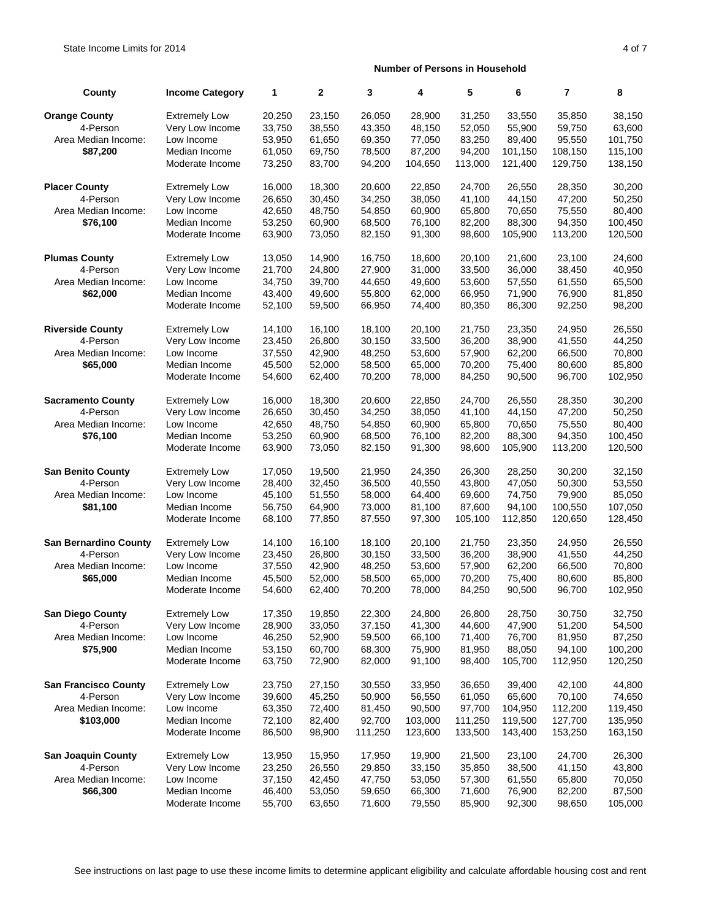| County                       | <b>Income Category</b> | 1      | $\mathbf{2}$ | 3       | 4       | 5       | 6       | $\overline{7}$ | 8       |
|------------------------------|------------------------|--------|--------------|---------|---------|---------|---------|----------------|---------|
| <b>Orange County</b>         | <b>Extremely Low</b>   | 20,250 | 23,150       | 26,050  | 28,900  | 31,250  | 33,550  | 35.850         | 38,150  |
| 4-Person                     | Very Low Income        | 33,750 | 38,550       | 43,350  | 48,150  | 52,050  | 55,900  | 59,750         | 63,600  |
| Area Median Income:          | Low Income             | 53,950 | 61,650       | 69,350  | 77,050  | 83,250  | 89,400  | 95,550         | 101,750 |
| \$87,200                     | Median Income          | 61,050 | 69,750       | 78,500  | 87,200  | 94,200  | 101,150 | 108,150        | 115,100 |
|                              | Moderate Income        | 73,250 | 83,700       | 94,200  | 104,650 | 113,000 | 121,400 | 129,750        | 138,150 |
| <b>Placer County</b>         | <b>Extremely Low</b>   | 16,000 | 18,300       | 20,600  | 22,850  | 24,700  | 26,550  | 28,350         | 30,200  |
| 4-Person                     | Very Low Income        | 26,650 | 30,450       | 34,250  | 38,050  | 41,100  | 44,150  | 47,200         | 50.250  |
| Area Median Income:          | Low Income             | 42,650 | 48,750       | 54,850  | 60,900  | 65,800  | 70,650  | 75,550         | 80,400  |
| \$76,100                     | Median Income          | 53,250 | 60,900       | 68,500  | 76,100  | 82,200  | 88,300  | 94,350         | 100,450 |
|                              | Moderate Income        | 63,900 | 73,050       | 82,150  | 91,300  | 98,600  | 105,900 | 113,200        | 120,500 |
| <b>Plumas County</b>         | <b>Extremely Low</b>   | 13,050 | 14,900       | 16,750  | 18,600  | 20,100  | 21,600  | 23,100         | 24,600  |
| 4-Person                     | Very Low Income        | 21,700 | 24,800       | 27,900  | 31,000  | 33,500  | 36,000  | 38,450         | 40,950  |
| Area Median Income:          | Low Income             | 34,750 | 39,700       | 44,650  | 49,600  | 53,600  | 57,550  | 61,550         | 65,500  |
| \$62,000                     | Median Income          | 43,400 | 49,600       | 55,800  | 62,000  | 66,950  | 71,900  | 76,900         | 81,850  |
|                              | Moderate Income        | 52,100 | 59,500       | 66,950  | 74,400  | 80,350  | 86,300  | 92,250         | 98,200  |
| <b>Riverside County</b>      | <b>Extremely Low</b>   | 14,100 | 16,100       | 18,100  | 20,100  | 21,750  | 23,350  | 24,950         | 26,550  |
| 4-Person                     | Very Low Income        | 23,450 | 26,800       | 30,150  | 33,500  | 36,200  | 38,900  | 41,550         | 44,250  |
| Area Median Income:          | Low Income             | 37,550 | 42,900       | 48,250  | 53,600  | 57,900  | 62,200  | 66,500         | 70,800  |
| \$65,000                     | Median Income          | 45,500 | 52,000       | 58,500  | 65,000  | 70,200  | 75,400  | 80,600         | 85,800  |
|                              | Moderate Income        | 54,600 | 62,400       | 70,200  | 78,000  | 84.250  | 90,500  | 96,700         | 102,950 |
| <b>Sacramento County</b>     | <b>Extremely Low</b>   | 16,000 | 18,300       | 20,600  | 22,850  | 24.700  | 26,550  | 28,350         | 30,200  |
| 4-Person                     | Very Low Income        | 26,650 | 30,450       | 34,250  | 38,050  | 41,100  | 44,150  | 47,200         | 50,250  |
| Area Median Income:          | Low Income             | 42,650 | 48,750       | 54,850  | 60,900  | 65,800  | 70,650  | 75,550         | 80,400  |
| \$76,100                     | Median Income          | 53,250 | 60,900       | 68,500  | 76,100  | 82,200  | 88,300  | 94,350         | 100,450 |
|                              | Moderate Income        | 63,900 | 73,050       | 82,150  | 91,300  | 98,600  | 105,900 | 113,200        | 120,500 |
| <b>San Benito County</b>     | <b>Extremely Low</b>   | 17,050 | 19,500       | 21,950  | 24,350  | 26,300  | 28,250  | 30,200         | 32,150  |
| 4-Person                     | Very Low Income        | 28,400 | 32,450       | 36,500  | 40,550  | 43,800  | 47,050  | 50,300         | 53,550  |
| Area Median Income:          | Low Income             | 45,100 | 51,550       | 58,000  | 64,400  | 69,600  | 74,750  | 79,900         | 85,050  |
| \$81,100                     | Median Income          | 56,750 | 64,900       | 73,000  | 81,100  | 87,600  | 94,100  | 100,550        | 107,050 |
|                              | Moderate Income        | 68,100 | 77,850       | 87,550  | 97,300  | 105,100 | 112,850 | 120,650        | 128,450 |
| <b>San Bernardino County</b> | <b>Extremely Low</b>   | 14,100 | 16,100       | 18,100  | 20,100  | 21,750  | 23,350  | 24,950         | 26,550  |
| 4-Person                     | Very Low Income        | 23,450 | 26,800       | 30,150  | 33,500  | 36,200  | 38,900  | 41,550         | 44,250  |
| Area Median Income:          | Low Income             | 37,550 | 42,900       | 48,250  | 53,600  | 57,900  | 62,200  | 66,500         | 70,800  |
| \$65,000                     | Median Income          | 45,500 | 52,000       | 58,500  | 65,000  | 70,200  | 75,400  | 80,600         | 85,800  |
|                              | Moderate Income        | 54,600 | 62,400       | 70,200  | 78,000  | 84,250  | 90,500  | 96,700         | 102,950 |
| <b>San Diego County</b>      | <b>Extremely Low</b>   | 17,350 | 19,850       | 22,300  | 24,800  | 26,800  | 28,750  | 30,750         | 32,750  |
| 4-Person                     | Very Low Income        | 28,900 | 33,050       | 37,150  | 41,300  | 44,600  | 47,900  | 51,200         | 54,500  |
| Area Median Income:          | Low Income             | 46,250 | 52,900       | 59,500  | 66,100  | 71,400  | 76,700  | 81,950         | 87,250  |
| \$75,900                     | Median Income          | 53,150 | 60,700       | 68,300  | 75,900  | 81,950  | 88,050  | 94,100         | 100,200 |
|                              | Moderate Income        | 63,750 | 72,900       | 82,000  | 91,100  | 98,400  | 105,700 | 112,950        | 120,250 |
| <b>San Francisco County</b>  | <b>Extremely Low</b>   | 23,750 | 27,150       | 30,550  | 33,950  | 36,650  | 39,400  | 42,100         | 44,800  |
| 4-Person                     | Very Low Income        | 39,600 | 45,250       | 50,900  | 56,550  | 61,050  | 65,600  | 70,100         | 74,650  |
| Area Median Income:          | Low Income             | 63,350 | 72,400       | 81,450  | 90,500  | 97,700  | 104,950 | 112,200        | 119,450 |
| \$103,000                    | Median Income          | 72,100 | 82,400       | 92,700  | 103,000 | 111,250 | 119,500 | 127,700        | 135,950 |
|                              | Moderate Income        | 86,500 | 98,900       | 111,250 | 123,600 | 133,500 | 143,400 | 153,250        | 163,150 |
| <b>San Joaquin County</b>    | <b>Extremely Low</b>   | 13,950 | 15,950       | 17,950  | 19,900  | 21,500  | 23,100  | 24,700         | 26,300  |
| 4-Person                     | Very Low Income        | 23,250 | 26,550       | 29,850  | 33,150  | 35,850  | 38,500  | 41,150         | 43,800  |
| Area Median Income:          | Low Income             | 37,150 | 42,450       | 47,750  | 53,050  | 57,300  | 61,550  | 65,800         | 70,050  |
| \$66,300                     | Median Income          | 46,400 | 53,050       | 59,650  | 66,300  | 71,600  | 76,900  | 82,200         | 87,500  |
|                              | Moderate Income        | 55,700 | 63,650       | 71,600  | 79,550  | 85,900  | 92,300  | 98,650         | 105,000 |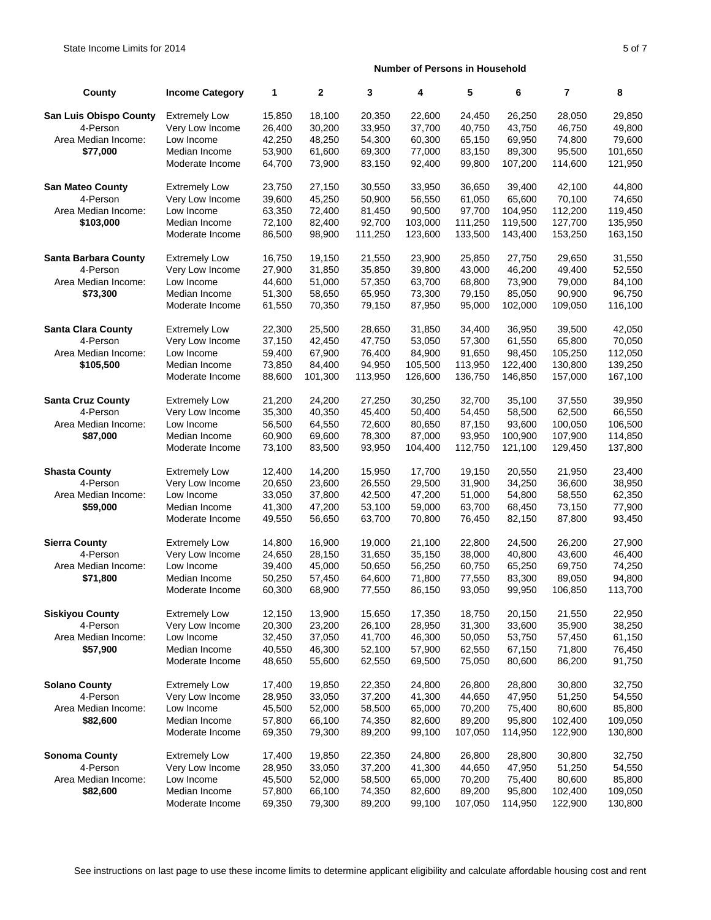| County                        | <b>Income Category</b> | 1      | $\mathbf{2}$ | 3       | 4       | 5       | 6       | $\overline{7}$ | 8       |
|-------------------------------|------------------------|--------|--------------|---------|---------|---------|---------|----------------|---------|
| <b>San Luis Obispo County</b> | <b>Extremely Low</b>   | 15,850 | 18,100       | 20,350  | 22,600  | 24,450  | 26,250  | 28,050         | 29,850  |
| 4-Person                      | Very Low Income        | 26,400 | 30,200       | 33,950  | 37,700  | 40,750  | 43,750  | 46,750         | 49,800  |
| Area Median Income:           | Low Income             | 42,250 | 48,250       | 54,300  | 60,300  | 65,150  | 69,950  | 74,800         | 79,600  |
| \$77,000                      | Median Income          | 53,900 | 61,600       | 69,300  | 77,000  | 83,150  | 89,300  | 95,500         | 101,650 |
|                               | Moderate Income        | 64,700 | 73,900       | 83,150  | 92,400  | 99,800  | 107,200 | 114,600        | 121,950 |
| <b>San Mateo County</b>       | <b>Extremely Low</b>   | 23,750 | 27,150       | 30,550  | 33,950  | 36,650  | 39,400  | 42,100         | 44,800  |
| 4-Person                      | Very Low Income        | 39,600 | 45,250       | 50,900  | 56,550  | 61,050  | 65,600  | 70,100         | 74,650  |
| Area Median Income:           | Low Income             | 63,350 | 72,400       | 81,450  | 90,500  | 97,700  | 104,950 | 112,200        | 119,450 |
| \$103,000                     | Median Income          | 72,100 | 82,400       | 92,700  | 103,000 | 111,250 | 119,500 | 127,700        | 135,950 |
|                               | Moderate Income        | 86,500 | 98,900       | 111,250 | 123,600 | 133,500 | 143,400 | 153,250        | 163,150 |
| <b>Santa Barbara County</b>   | <b>Extremely Low</b>   | 16,750 | 19,150       | 21,550  | 23,900  | 25,850  | 27,750  | 29,650         | 31,550  |
| 4-Person                      | Very Low Income        | 27,900 | 31,850       | 35,850  | 39,800  | 43,000  | 46,200  | 49,400         | 52,550  |
| Area Median Income:           | Low Income             | 44,600 | 51,000       | 57,350  | 63,700  | 68,800  | 73,900  | 79,000         | 84,100  |
| \$73,300                      | Median Income          | 51,300 | 58,650       | 65,950  | 73,300  | 79,150  | 85,050  | 90,900         | 96,750  |
|                               | Moderate Income        | 61,550 | 70,350       | 79,150  | 87,950  | 95,000  | 102,000 | 109,050        | 116,100 |
| <b>Santa Clara County</b>     | <b>Extremely Low</b>   | 22,300 | 25,500       | 28,650  | 31,850  | 34,400  | 36,950  | 39,500         | 42,050  |
| 4-Person                      | Very Low Income        | 37,150 | 42,450       | 47,750  | 53,050  | 57,300  | 61,550  | 65,800         | 70,050  |
| Area Median Income:           | Low Income             | 59,400 | 67,900       | 76,400  | 84,900  | 91,650  | 98,450  | 105,250        | 112,050 |
| \$105,500                     | Median Income          | 73,850 | 84,400       | 94,950  | 105,500 | 113,950 | 122,400 | 130,800        | 139,250 |
|                               | Moderate Income        | 88,600 | 101,300      | 113,950 | 126,600 | 136,750 | 146,850 | 157,000        | 167,100 |
| <b>Santa Cruz County</b>      | <b>Extremely Low</b>   | 21,200 | 24,200       | 27,250  | 30,250  | 32,700  | 35,100  | 37,550         | 39,950  |
| 4-Person                      | Very Low Income        | 35,300 | 40,350       | 45,400  | 50,400  | 54,450  | 58,500  | 62,500         | 66,550  |
| Area Median Income:           | Low Income             | 56,500 | 64,550       | 72,600  | 80,650  | 87,150  | 93,600  | 100,050        | 106,500 |
| \$87,000                      | Median Income          | 60,900 | 69,600       | 78,300  | 87,000  | 93,950  | 100,900 | 107,900        | 114,850 |
|                               | Moderate Income        | 73,100 | 83,500       | 93,950  | 104,400 | 112,750 | 121,100 | 129,450        | 137,800 |
| <b>Shasta County</b>          | <b>Extremely Low</b>   | 12,400 | 14,200       | 15,950  | 17,700  | 19,150  | 20,550  | 21,950         | 23,400  |
| 4-Person                      | Very Low Income        | 20,650 | 23,600       | 26,550  | 29,500  | 31,900  | 34,250  | 36,600         | 38,950  |
| Area Median Income:           | Low Income             | 33,050 | 37,800       | 42,500  | 47,200  | 51,000  | 54,800  | 58,550         | 62,350  |
| \$59,000                      | Median Income          | 41,300 | 47,200       | 53,100  | 59,000  | 63,700  | 68,450  | 73,150         | 77,900  |
|                               | Moderate Income        | 49,550 | 56,650       | 63,700  | 70,800  | 76,450  | 82,150  | 87,800         | 93,450  |
| <b>Sierra County</b>          | <b>Extremely Low</b>   | 14,800 | 16,900       | 19,000  | 21,100  | 22,800  | 24,500  | 26,200         | 27,900  |
| 4-Person                      | Very Low Income        | 24,650 | 28,150       | 31,650  | 35,150  | 38,000  | 40,800  | 43,600         | 46,400  |
| Area Median Income:           | Low Income             | 39,400 | 45,000       | 50,650  | 56,250  | 60,750  | 65,250  | 69,750         | 74,250  |
| \$71,800                      | Median Income          | 50,250 | 57,450       | 64,600  | 71,800  | 77,550  | 83,300  | 89,050         | 94,800  |
|                               | Moderate Income        | 60,300 | 68,900       | 77,550  | 86,150  | 93,050  | 99,950  | 106,850        | 113,700 |
| <b>Siskiyou County</b>        | <b>Extremely Low</b>   | 12,150 | 13,900       | 15,650  | 17,350  | 18,750  | 20,150  | 21,550         | 22,950  |
| 4-Person                      | Very Low Income        | 20,300 | 23,200       | 26,100  | 28,950  | 31,300  | 33,600  | 35,900         | 38,250  |
| Area Median Income:           | Low Income             | 32,450 | 37,050       | 41,700  | 46,300  | 50,050  | 53,750  | 57,450         | 61,150  |
| \$57,900                      | Median Income          | 40,550 | 46,300       | 52,100  | 57,900  | 62,550  | 67,150  | 71,800         | 76,450  |
|                               | Moderate Income        | 48,650 | 55,600       | 62,550  | 69,500  | 75,050  | 80,600  | 86,200         | 91,750  |
| <b>Solano County</b>          | <b>Extremely Low</b>   | 17,400 | 19,850       | 22,350  | 24,800  | 26,800  | 28,800  | 30,800         | 32,750  |
| 4-Person                      | Very Low Income        | 28,950 | 33,050       | 37,200  | 41,300  | 44,650  | 47,950  | 51,250         | 54,550  |
| Area Median Income:           | Low Income             | 45,500 | 52,000       | 58,500  | 65,000  | 70,200  | 75,400  | 80,600         | 85,800  |
| \$82,600                      | Median Income          | 57,800 | 66,100       | 74,350  | 82,600  | 89,200  | 95,800  | 102,400        | 109,050 |
|                               | Moderate Income        | 69,350 | 79,300       | 89,200  | 99,100  | 107,050 | 114,950 | 122,900        | 130,800 |
| <b>Sonoma County</b>          | <b>Extremely Low</b>   | 17,400 | 19,850       | 22,350  | 24,800  | 26,800  | 28,800  | 30,800         | 32,750  |
| 4-Person                      | Very Low Income        | 28,950 | 33,050       | 37,200  | 41,300  | 44,650  | 47,950  | 51,250         | 54,550  |
| Area Median Income:           | Low Income             | 45,500 | 52,000       | 58,500  | 65,000  | 70,200  | 75,400  | 80,600         | 85,800  |
| \$82,600                      | Median Income          | 57,800 | 66,100       | 74,350  | 82,600  | 89,200  | 95,800  | 102,400        | 109,050 |
|                               | Moderate Income        | 69,350 | 79,300       | 89,200  | 99,100  | 107,050 | 114,950 | 122,900        | 130,800 |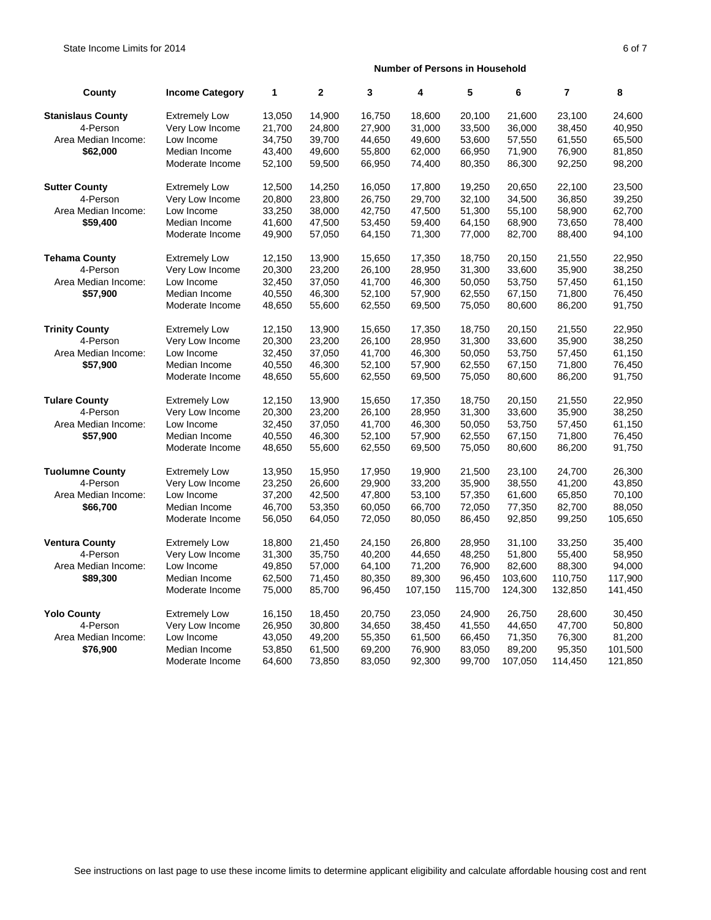| County                   | <b>Income Category</b> | 1      | $\mathbf{2}$ | 3      | 4       | 5       | 6       | $\overline{7}$ | 8       |
|--------------------------|------------------------|--------|--------------|--------|---------|---------|---------|----------------|---------|
| <b>Stanislaus County</b> | <b>Extremely Low</b>   | 13,050 | 14,900       | 16,750 | 18,600  | 20,100  | 21,600  | 23,100         | 24,600  |
| 4-Person                 | Very Low Income        | 21,700 | 24,800       | 27,900 | 31,000  | 33,500  | 36,000  | 38,450         | 40,950  |
| Area Median Income:      | Low Income             | 34,750 | 39,700       | 44,650 | 49,600  | 53,600  | 57,550  | 61,550         | 65,500  |
| \$62,000                 | Median Income          | 43,400 | 49,600       | 55,800 | 62,000  | 66,950  | 71,900  | 76,900         | 81,850  |
|                          | Moderate Income        | 52,100 | 59,500       | 66,950 | 74,400  | 80,350  | 86,300  | 92,250         | 98,200  |
| <b>Sutter County</b>     | <b>Extremely Low</b>   | 12,500 | 14,250       | 16,050 | 17,800  | 19,250  | 20,650  | 22,100         | 23,500  |
| 4-Person                 | Very Low Income        | 20,800 | 23,800       | 26,750 | 29,700  | 32,100  | 34,500  | 36,850         | 39,250  |
| Area Median Income:      | Low Income             | 33,250 | 38,000       | 42,750 | 47,500  | 51,300  | 55,100  | 58,900         | 62,700  |
| \$59,400                 | Median Income          | 41,600 | 47,500       | 53,450 | 59,400  | 64,150  | 68,900  | 73,650         | 78,400  |
|                          | Moderate Income        | 49,900 | 57,050       | 64,150 | 71,300  | 77,000  | 82,700  | 88,400         | 94,100  |
| <b>Tehama County</b>     | <b>Extremely Low</b>   | 12,150 | 13,900       | 15,650 | 17,350  | 18,750  | 20,150  | 21,550         | 22,950  |
| 4-Person                 | Very Low Income        | 20,300 | 23,200       | 26,100 | 28,950  | 31,300  | 33,600  | 35,900         | 38,250  |
| Area Median Income:      | Low Income             | 32,450 | 37,050       | 41,700 | 46,300  | 50,050  | 53,750  | 57,450         | 61,150  |
| \$57,900                 | Median Income          | 40,550 | 46,300       | 52,100 | 57,900  | 62,550  | 67,150  | 71,800         | 76,450  |
|                          | Moderate Income        | 48,650 | 55,600       | 62,550 | 69,500  | 75,050  | 80,600  | 86,200         | 91,750  |
| <b>Trinity County</b>    | <b>Extremely Low</b>   | 12,150 | 13,900       | 15,650 | 17,350  | 18,750  | 20,150  | 21,550         | 22,950  |
| 4-Person                 | Very Low Income        | 20,300 | 23,200       | 26,100 | 28,950  | 31,300  | 33,600  | 35,900         | 38,250  |
| Area Median Income:      | Low Income             | 32,450 | 37,050       | 41,700 | 46,300  | 50,050  | 53,750  | 57,450         | 61,150  |
| \$57,900                 | Median Income          | 40,550 | 46,300       | 52,100 | 57,900  | 62,550  | 67,150  | 71,800         | 76,450  |
|                          | Moderate Income        | 48,650 | 55,600       | 62,550 | 69,500  | 75,050  | 80,600  | 86,200         | 91,750  |
| <b>Tulare County</b>     | <b>Extremely Low</b>   | 12,150 | 13,900       | 15,650 | 17,350  | 18,750  | 20,150  | 21,550         | 22,950  |
| 4-Person                 | Very Low Income        | 20,300 | 23,200       | 26,100 | 28,950  | 31,300  | 33,600  | 35,900         | 38,250  |
| Area Median Income:      | Low Income             | 32,450 | 37,050       | 41,700 | 46,300  | 50,050  | 53,750  | 57,450         | 61,150  |
| \$57,900                 | Median Income          | 40,550 | 46,300       | 52,100 | 57,900  | 62,550  | 67,150  | 71,800         | 76,450  |
|                          | Moderate Income        | 48,650 | 55,600       | 62,550 | 69,500  | 75,050  | 80,600  | 86,200         | 91,750  |
| <b>Tuolumne County</b>   | <b>Extremely Low</b>   | 13,950 | 15,950       | 17,950 | 19,900  | 21,500  | 23,100  | 24,700         | 26,300  |
| 4-Person                 | Very Low Income        | 23,250 | 26,600       | 29,900 | 33,200  | 35,900  | 38,550  | 41,200         | 43,850  |
| Area Median Income:      | Low Income             | 37,200 | 42,500       | 47,800 | 53,100  | 57,350  | 61,600  | 65,850         | 70,100  |
| \$66,700                 | Median Income          | 46,700 | 53,350       | 60,050 | 66,700  | 72,050  | 77,350  | 82,700         | 88,050  |
|                          | Moderate Income        | 56,050 | 64,050       | 72,050 | 80,050  | 86,450  | 92,850  | 99,250         | 105,650 |
| <b>Ventura County</b>    | <b>Extremely Low</b>   | 18,800 | 21,450       | 24,150 | 26,800  | 28,950  | 31,100  | 33,250         | 35,400  |
| 4-Person                 | Very Low Income        | 31,300 | 35,750       | 40,200 | 44,650  | 48,250  | 51,800  | 55,400         | 58,950  |
| Area Median Income:      | Low Income             | 49,850 | 57,000       | 64,100 | 71,200  | 76,900  | 82,600  | 88,300         | 94,000  |
| \$89,300                 | Median Income          | 62,500 | 71,450       | 80,350 | 89,300  | 96,450  | 103,600 | 110,750        | 117,900 |
|                          | Moderate Income        | 75,000 | 85,700       | 96,450 | 107,150 | 115,700 | 124,300 | 132,850        | 141,450 |
| <b>Yolo County</b>       | <b>Extremely Low</b>   | 16,150 | 18,450       | 20,750 | 23,050  | 24,900  | 26,750  | 28,600         | 30,450  |
| 4-Person                 | Very Low Income        | 26,950 | 30,800       | 34,650 | 38,450  | 41,550  | 44,650  | 47,700         | 50,800  |
| Area Median Income:      | Low Income             | 43,050 | 49,200       | 55,350 | 61,500  | 66,450  | 71,350  | 76,300         | 81,200  |
| \$76,900                 | Median Income          | 53,850 | 61,500       | 69,200 | 76,900  | 83,050  | 89,200  | 95,350         | 101,500 |
|                          | Moderate Income        | 64,600 | 73,850       | 83,050 | 92,300  | 99,700  | 107,050 | 114,450        | 121,850 |
|                          |                        |        |              |        |         |         |         |                |         |